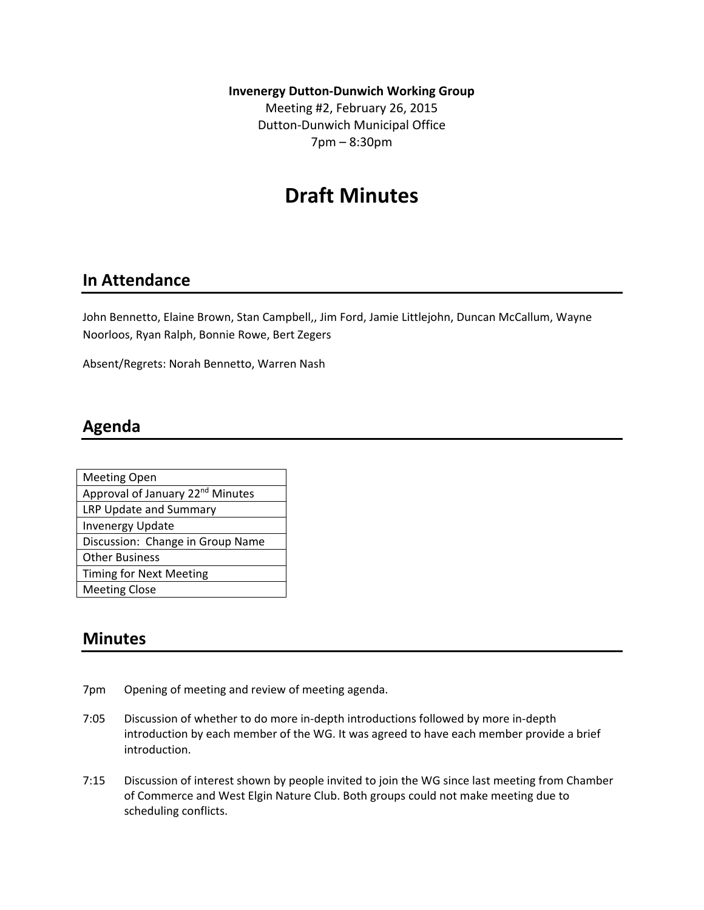**Invenergy Dutton‐Dunwich Working Group**

Meeting #2, February 26, 2015 Dutton‐Dunwich Municipal Office 7pm – 8:30pm

# **Draft Minutes**

#### **In Attendance**

John Bennetto, Elaine Brown, Stan Campbell,, Jim Ford, Jamie Littlejohn, Duncan McCallum, Wayne Noorloos, Ryan Ralph, Bonnie Rowe, Bert Zegers

Absent/Regrets: Norah Bennetto, Warren Nash

#### **Agenda**

| <b>Meeting Open</b>                          |
|----------------------------------------------|
| Approval of January 22 <sup>nd</sup> Minutes |
| LRP Update and Summary                       |
| <b>Invenergy Update</b>                      |
| Discussion: Change in Group Name             |
| <b>Other Business</b>                        |
| <b>Timing for Next Meeting</b>               |
| <b>Meeting Close</b>                         |

#### **Minutes**

- 7pm Opening of meeting and review of meeting agenda.
- 7:05 Discussion of whether to do more in‐depth introductions followed by more in‐depth introduction by each member of the WG. It was agreed to have each member provide a brief introduction.
- 7:15 Discussion of interest shown by people invited to join the WG since last meeting from Chamber of Commerce and West Elgin Nature Club. Both groups could not make meeting due to scheduling conflicts.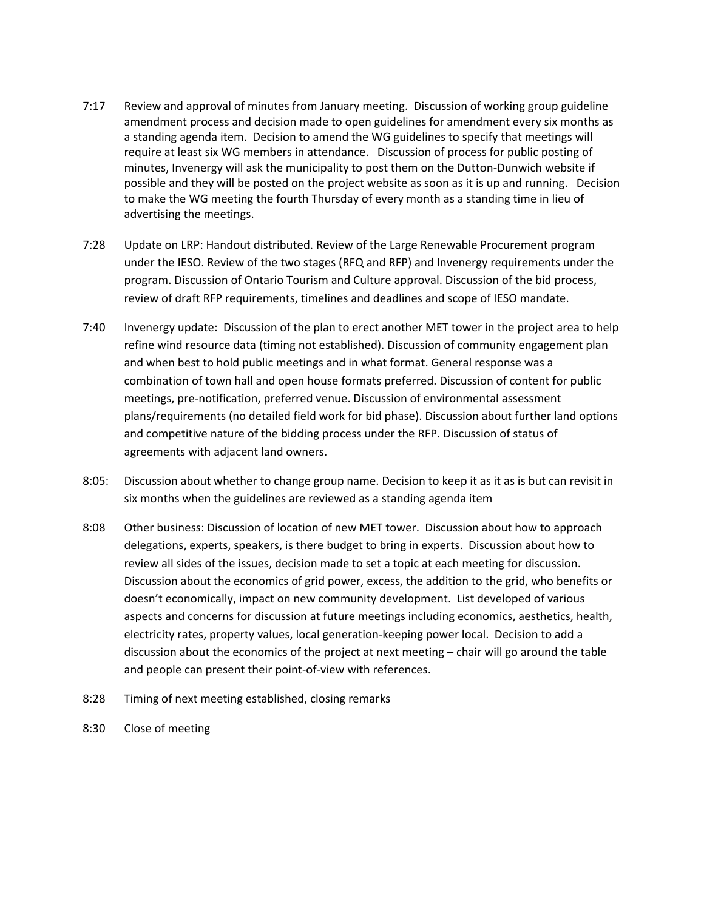- 7:17 Review and approval of minutes from January meeting. Discussion of working group guideline amendment process and decision made to open guidelines for amendment every six months as a standing agenda item. Decision to amend the WG guidelines to specify that meetings will require at least six WG members in attendance. Discussion of process for public posting of minutes, Invenergy will ask the municipality to post them on the Dutton‐Dunwich website if possible and they will be posted on the project website as soon as it is up and running. Decision to make the WG meeting the fourth Thursday of every month as a standing time in lieu of advertising the meetings.
- 7:28 Update on LRP: Handout distributed. Review of the Large Renewable Procurement program under the IESO. Review of the two stages (RFQ and RFP) and Invenergy requirements under the program. Discussion of Ontario Tourism and Culture approval. Discussion of the bid process, review of draft RFP requirements, timelines and deadlines and scope of IESO mandate.
- 7:40 Invenergy update: Discussion of the plan to erect another MET tower in the project area to help refine wind resource data (timing not established). Discussion of community engagement plan and when best to hold public meetings and in what format. General response was a combination of town hall and open house formats preferred. Discussion of content for public meetings, pre‐notification, preferred venue. Discussion of environmental assessment plans/requirements (no detailed field work for bid phase). Discussion about further land options and competitive nature of the bidding process under the RFP. Discussion of status of agreements with adjacent land owners.
- 8:05: Discussion about whether to change group name. Decision to keep it as it as is but can revisit in six months when the guidelines are reviewed as a standing agenda item
- 8:08 Other business: Discussion of location of new MET tower. Discussion about how to approach delegations, experts, speakers, is there budget to bring in experts. Discussion about how to review all sides of the issues, decision made to set a topic at each meeting for discussion. Discussion about the economics of grid power, excess, the addition to the grid, who benefits or doesn't economically, impact on new community development. List developed of various aspects and concerns for discussion at future meetings including economics, aesthetics, health, electricity rates, property values, local generation‐keeping power local. Decision to add a discussion about the economics of the project at next meeting – chair will go around the table and people can present their point‐of‐view with references.
- 8:28 Timing of next meeting established, closing remarks
- 8:30 Close of meeting